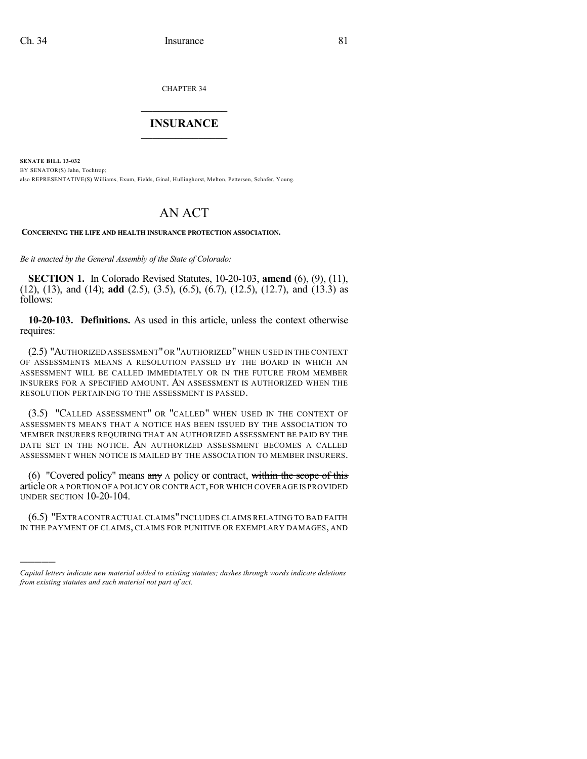)))))

CHAPTER 34

## $\mathcal{L}_\text{max}$  . The set of the set of the set of the set of the set of the set of the set of the set of the set of the set of the set of the set of the set of the set of the set of the set of the set of the set of the set **INSURANCE**  $\frac{1}{2}$  ,  $\frac{1}{2}$  ,  $\frac{1}{2}$  ,  $\frac{1}{2}$  ,  $\frac{1}{2}$  ,  $\frac{1}{2}$  ,  $\frac{1}{2}$

**SENATE BILL 13-032** BY SENATOR(S) Jahn, Tochtrop; also REPRESENTATIVE(S) Williams, Exum, Fields, Ginal, Hullinghorst, Melton, Pettersen, Schafer, Young.

# AN ACT

**CONCERNING THE LIFE AND HEALTH INSURANCE PROTECTION ASSOCIATION.**

*Be it enacted by the General Assembly of the State of Colorado:*

**SECTION 1.** In Colorado Revised Statutes, 10-20-103, **amend** (6), (9), (11), (12), (13), and (14); **add** (2.5), (3.5), (6.5), (6.7), (12.5), (12.7), and (13.3) as follows:

**10-20-103. Definitions.** As used in this article, unless the context otherwise requires:

(2.5) "AUTHORIZED ASSESSMENT"OR "AUTHORIZED"WHEN USED IN THE CONTEXT OF ASSESSMENTS MEANS A RESOLUTION PASSED BY THE BOARD IN WHICH AN ASSESSMENT WILL BE CALLED IMMEDIATELY OR IN THE FUTURE FROM MEMBER INSURERS FOR A SPECIFIED AMOUNT. AN ASSESSMENT IS AUTHORIZED WHEN THE RESOLUTION PERTAINING TO THE ASSESSMENT IS PASSED.

(3.5) "CALLED ASSESSMENT" OR "CALLED" WHEN USED IN THE CONTEXT OF ASSESSMENTS MEANS THAT A NOTICE HAS BEEN ISSUED BY THE ASSOCIATION TO MEMBER INSURERS REQUIRING THAT AN AUTHORIZED ASSESSMENT BE PAID BY THE DATE SET IN THE NOTICE. AN AUTHORIZED ASSESSMENT BECOMES A CALLED ASSESSMENT WHEN NOTICE IS MAILED BY THE ASSOCIATION TO MEMBER INSURERS.

(6) "Covered policy" means any A policy or contract, within the scope of this article OR A PORTION OF A POLICY OR CONTRACT, FOR WHICH COVERAGE IS PROVIDED UNDER SECTION 10-20-104.

(6.5) "EXTRACONTRACTUAL CLAIMS"INCLUDES CLAIMS RELATING TO BAD FAITH IN THE PAYMENT OF CLAIMS, CLAIMS FOR PUNITIVE OR EXEMPLARY DAMAGES, AND

*Capital letters indicate new material added to existing statutes; dashes through words indicate deletions from existing statutes and such material not part of act.*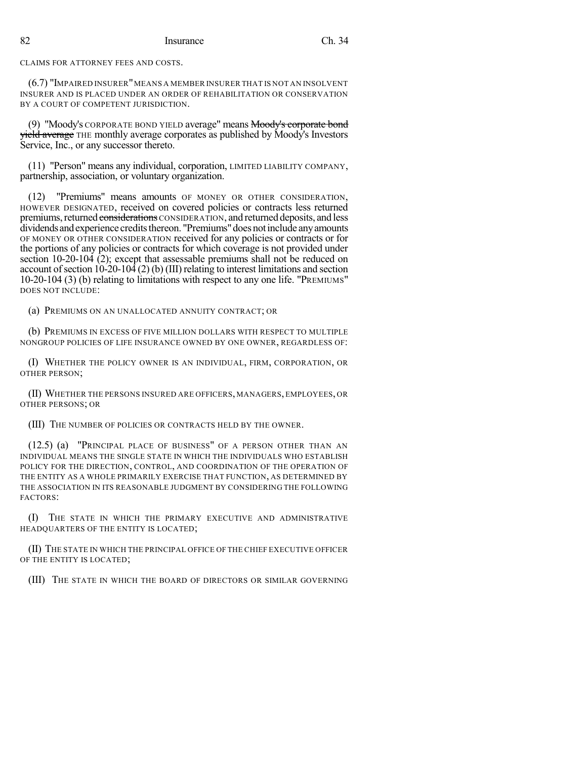CLAIMS FOR ATTORNEY FEES AND COSTS.

(6.7) "IMPAIRED INSURER"MEANS A MEMBER INSURER THAT IS NOT AN INSOLVENT INSURER AND IS PLACED UNDER AN ORDER OF REHABILITATION OR CONSERVATION BY A COURT OF COMPETENT JURISDICTION.

(9) "Moody's CORPORATE BOND YIELD average" means Moody's corporate bond yield average THE monthly average corporates as published by Moody's Investors Service, Inc., or any successor thereto.

(11) "Person" means any individual, corporation, LIMITED LIABILITY COMPANY, partnership, association, or voluntary organization.

(12) "Premiums" means amounts OF MONEY OR OTHER CONSIDERATION, HOWEVER DESIGNATED, received on covered policies or contracts less returned premiums, returned considerations CONSIDERATION, and returned deposits, and less dividends and experience credits thereon. "Premiums" does not include any amounts OF MONEY OR OTHER CONSIDERATION received for any policies or contracts or for the portions of any policies or contracts for which coverage is not provided under section  $10-20-104$   $(2)$ ; except that assessable premiums shall not be reduced on account of section  $10-20-104(2)$  (b) (III) relating to interest limitations and section 10-20-104 (3) (b) relating to limitations with respect to any one life. "PREMIUMS" DOES NOT INCLUDE:

(a) PREMIUMS ON AN UNALLOCATED ANNUITY CONTRACT; OR

(b) PREMIUMS IN EXCESS OF FIVE MILLION DOLLARS WITH RESPECT TO MULTIPLE NONGROUP POLICIES OF LIFE INSURANCE OWNED BY ONE OWNER, REGARDLESS OF:

(I) WHETHER THE POLICY OWNER IS AN INDIVIDUAL, FIRM, CORPORATION, OR OTHER PERSON;

(II) WHETHER THE PERSONS INSURED ARE OFFICERS, MANAGERS, EMPLOYEES, OR OTHER PERSONS; OR

(III) THE NUMBER OF POLICIES OR CONTRACTS HELD BY THE OWNER.

(12.5) (a) "PRINCIPAL PLACE OF BUSINESS" OF A PERSON OTHER THAN AN INDIVIDUAL MEANS THE SINGLE STATE IN WHICH THE INDIVIDUALS WHO ESTABLISH POLICY FOR THE DIRECTION, CONTROL, AND COORDINATION OF THE OPERATION OF THE ENTITY AS A WHOLE PRIMARILY EXERCISE THAT FUNCTION, AS DETERMINED BY THE ASSOCIATION IN ITS REASONABLE JUDGMENT BY CONSIDERING THE FOLLOWING FACTORS:

(I) THE STATE IN WHICH THE PRIMARY EXECUTIVE AND ADMINISTRATIVE HEADQUARTERS OF THE ENTITY IS LOCATED;

(II) THE STATE IN WHICH THE PRINCIPAL OFFICE OF THE CHIEF EXECUTIVE OFFICER OF THE ENTITY IS LOCATED;

(III) THE STATE IN WHICH THE BOARD OF DIRECTORS OR SIMILAR GOVERNING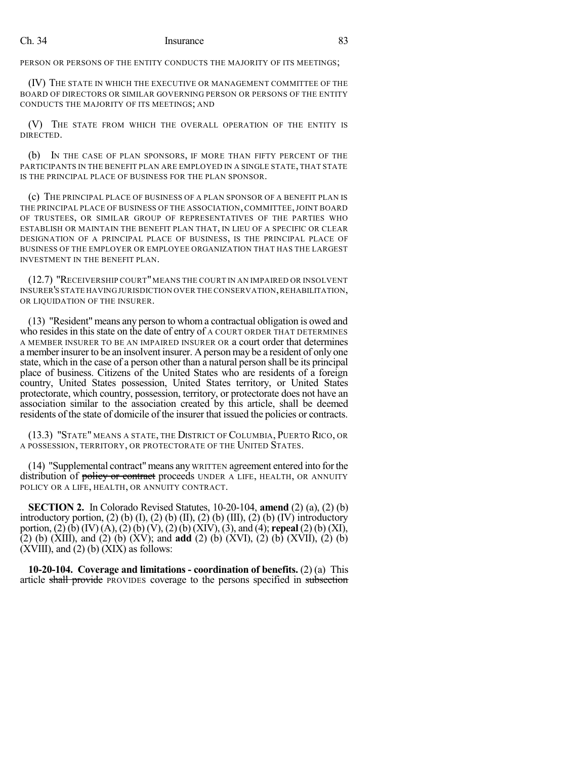PERSON OR PERSONS OF THE ENTITY CONDUCTS THE MAJORITY OF ITS MEETINGS;

(IV) THE STATE IN WHICH THE EXECUTIVE OR MANAGEMENT COMMITTEE OF THE BOARD OF DIRECTORS OR SIMILAR GOVERNING PERSON OR PERSONS OF THE ENTITY CONDUCTS THE MAJORITY OF ITS MEETINGS; AND

(V) THE STATE FROM WHICH THE OVERALL OPERATION OF THE ENTITY IS DIRECTED.

(b) IN THE CASE OF PLAN SPONSORS, IF MORE THAN FIFTY PERCENT OF THE PARTICIPANTS IN THE BENEFIT PLAN ARE EMPLOYED IN A SINGLE STATE, THAT STATE IS THE PRINCIPAL PLACE OF BUSINESS FOR THE PLAN SPONSOR.

(c) THE PRINCIPAL PLACE OF BUSINESS OF A PLAN SPONSOR OF A BENEFIT PLAN IS THE PRINCIPAL PLACE OF BUSINESS OF THE ASSOCIATION, COMMITTEE,JOINT BOARD OF TRUSTEES, OR SIMILAR GROUP OF REPRESENTATIVES OF THE PARTIES WHO ESTABLISH OR MAINTAIN THE BENEFIT PLAN THAT, IN LIEU OF A SPECIFIC OR CLEAR DESIGNATION OF A PRINCIPAL PLACE OF BUSINESS, IS THE PRINCIPAL PLACE OF BUSINESS OF THE EMPLOYER OR EMPLOYEE ORGANIZATION THAT HAS THE LARGEST INVESTMENT IN THE BENEFIT PLAN.

(12.7) "RECEIVERSHIP COURT"MEANS THE COURT IN AN IMPAIRED OR INSOLVENT INSURER'S STATE HAVING JURISDICTION OVER THE CONSERVATION, REHABILITATION, OR LIQUIDATION OF THE INSURER.

(13) "Resident" means any person to whoma contractual obligation is owed and who resides in this state on the date of entry of A COURT ORDER THAT DETERMINES A MEMBER INSURER TO BE AN IMPAIRED INSURER OR a court order that determines a member insurer to be an insolvent insurer. A person may be a resident of only one state, which in the case of a person other than a natural person shall be its principal place of business. Citizens of the United States who are residents of a foreign country, United States possession, United States territory, or United States protectorate, which country, possession, territory, or protectorate does not have an association similar to the association created by this article, shall be deemed residents of the state of domicile of the insurer that issued the policies or contracts.

(13.3) "STATE" MEANS A STATE, THE DISTRICT OF COLUMBIA, PUERTO RICO, OR A POSSESSION, TERRITORY, OR PROTECTORATE OF THE UNITED STATES.

(14) "Supplemental contract"means any WRITTEN agreement entered into forthe distribution of **policy or contract** proceeds UNDER A LIFE, HEALTH, OR ANNUITY POLICY OR A LIFE, HEALTH, OR ANNUITY CONTRACT.

**SECTION 2.** In Colorado Revised Statutes, 10-20-104, **amend** (2) (a), (2) (b) introductory portion, (2) (b) (I), (2) (b) (II), (2) (b) (III), (2) (b) (IV) introductory portion, (2) (b) (IV) (A), (2) (b) (V), (2) (b) (XIV), (3), and (4); **repeal** (2) (b) (XI), (2) (b) (XIII), and (2) (b) (XV); and **add** (2) (b) (XVI), (2) (b) (XVII), (2) (b)  $(XVIII)$ , and  $(2)$  (b)  $(XIX)$  as follows:

**10-20-104. Coverage and limitations - coordination of benefits.** (2) (a) This article shall provide PROVIDES coverage to the persons specified in subsection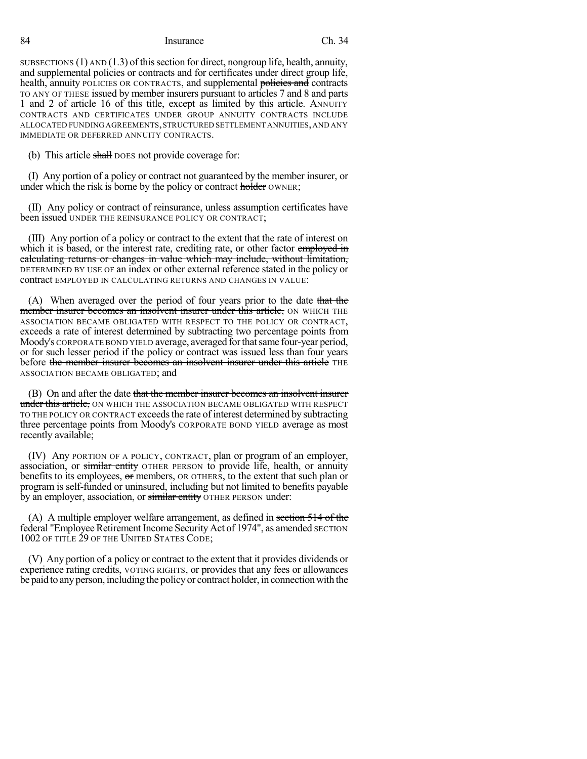SUBSECTIONS  $(1)$  AND  $(1.3)$  of this section for direct, nongroup life, health, annuity, and supplemental policies or contracts and for certificates under direct group life, health, annuity POLICIES OR CONTRACTS, and supplemental policies and contracts TO ANY OF THESE issued by member insurers pursuant to articles 7 and 8 and parts 1 and 2 of article 16 of this title, except as limited by this article. ANNUITY CONTRACTS AND CERTIFICATES UNDER GROUP ANNUITY CONTRACTS INCLUDE ALLOCATED FUNDING AGREEMENTS,STRUCTURED SETTLEMENT ANNUITIES,AND ANY IMMEDIATE OR DEFERRED ANNUITY CONTRACTS.

(b) This article shall poes not provide coverage for:

(I) Any portion of a policy or contract not guaranteed by the member insurer, or under which the risk is borne by the policy or contract holder OWNER;

(II) Any policy or contract of reinsurance, unless assumption certificates have been issued UNDER THE REINSURANCE POLICY OR CONTRACT;

(III) Any portion of a policy or contract to the extent that the rate of interest on which it is based, or the interest rate, crediting rate, or other factor employed in calculating returns or changes in value which may include, without limitation, DETERMINED BY USE OF an index or other external reference stated in the policy or contract EMPLOYED IN CALCULATING RETURNS AND CHANGES IN VALUE:

(A) When averaged over the period of four years prior to the date that the member insurer becomes an insolvent insurer under this article, ON WHICH THE ASSOCIATION BECAME OBLIGATED WITH RESPECT TO THE POLICY OR CONTRACT, exceeds a rate of interest determined by subtracting two percentage points from Moody's CORPORATE BOND YIELD average, averaged forthatsame four-year period, or for such lesser period if the policy or contract was issued less than four years before the member insurer becomes an insolvent insurer under this article THE ASSOCIATION BECAME OBLIGATED; and

(B) On and after the date that the member insurer becomes an insolvent insurer under this article, ON WHICH THE ASSOCIATION BECAME OBLIGATED WITH RESPECT TO THE POLICY OR CONTRACT exceedsthe rate ofinterest determined by subtracting three percentage points from Moody's CORPORATE BOND YIELD average as most recently available;

(IV) Any PORTION OF A POLICY, CONTRACT, plan or program of an employer, association, or similar entity OTHER PERSON to provide life, health, or annuity benefits to its employees, or members, OR OTHERS, to the extent that such plan or program is self-funded or uninsured, including but not limited to benefits payable by an employer, association, or similar entity OTHER PERSON under:

(A) A multiple employer welfare arrangement, as defined in section 514 of the **federal "Employee Retirement Income Security Act of 1974", as amended** SECTION 1002 OF TITLE 29 OF THE UNITED STATES CODE;

(V) Any portion of a policy or contract to the extent that it provides dividends or experience rating credits, VOTING RIGHTS, or provides that any fees or allowances be paid to any person, including the policy or contract holder, in connection with the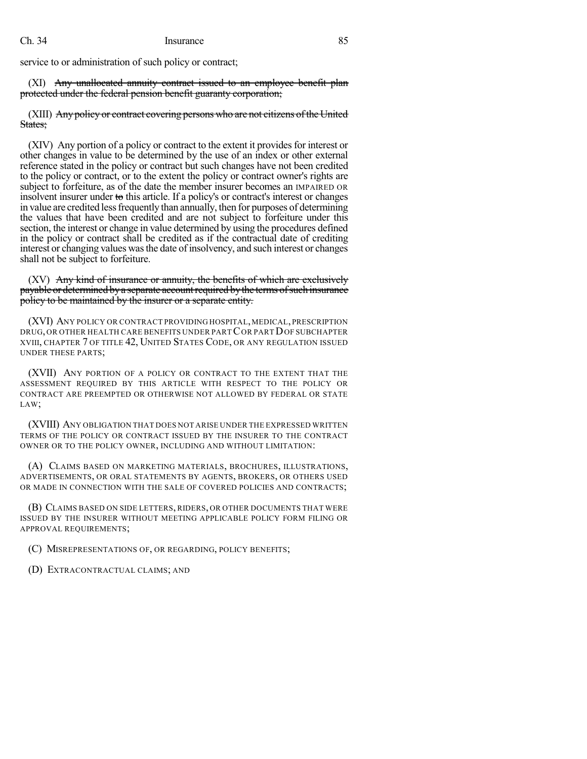service to or administration of such policy or contract;

(XI) Any unallocated annuity contract issued to an employee benefit plan protected under the federal pension benefit guaranty corporation;

(XIII) Any policy or contract covering persons who are not citizens of the United States:

(XIV) Any portion of a policy or contract to the extent it providesfor interest or other changes in value to be determined by the use of an index or other external reference stated in the policy or contract but such changes have not been credited to the policy or contract, or to the extent the policy or contract owner's rights are subject to forfeiture, as of the date the member insurer becomes an IMPAIRED OR insolvent insurer under to this article. If a policy's or contract's interest or changes in value are credited less frequently than annually, then for purposes of determining the values that have been credited and are not subject to forfeiture under this section, the interest or change in value determined by using the procedures defined in the policy or contract shall be credited as if the contractual date of crediting interest or changing values wasthe date of insolvency, and such interest or changes shall not be subject to forfeiture.

(XV) Any kind of insurance or annuity, the benefits of which are exclusively payable or determined by a separate account required by the terms of such insurance policy to be maintained by the insurer or a separate entity.

(XVI) ANY POLICY OR CONTRACT PROVIDING HOSPITAL, MEDICAL, PRESCRIPTION DRUG, OR OTHER HEALTH CARE BENEFITS UNDER PARTCOR PARTDOF SUBCHAPTER XVIII, CHAPTER 7 OF TITLE 42, UNITED STATES CODE, OR ANY REGULATION ISSUED UNDER THESE PARTS;

(XVII) ANY PORTION OF A POLICY OR CONTRACT TO THE EXTENT THAT THE ASSESSMENT REQUIRED BY THIS ARTICLE WITH RESPECT TO THE POLICY OR CONTRACT ARE PREEMPTED OR OTHERWISE NOT ALLOWED BY FEDERAL OR STATE LAW;

(XVIII) ANY OBLIGATION THAT DOES NOT ARISE UNDER THE EXPRESSED WRITTEN TERMS OF THE POLICY OR CONTRACT ISSUED BY THE INSURER TO THE CONTRACT OWNER OR TO THE POLICY OWNER, INCLUDING AND WITHOUT LIMITATION:

(A) CLAIMS BASED ON MARKETING MATERIALS, BROCHURES, ILLUSTRATIONS, ADVERTISEMENTS, OR ORAL STATEMENTS BY AGENTS, BROKERS, OR OTHERS USED OR MADE IN CONNECTION WITH THE SALE OF COVERED POLICIES AND CONTRACTS;

(B) CLAIMS BASED ON SIDE LETTERS, RIDERS, OR OTHER DOCUMENTS THAT WERE ISSUED BY THE INSURER WITHOUT MEETING APPLICABLE POLICY FORM FILING OR APPROVAL REQUIREMENTS;

(C) MISREPRESENTATIONS OF, OR REGARDING, POLICY BENEFITS;

(D) EXTRACONTRACTUAL CLAIMS; AND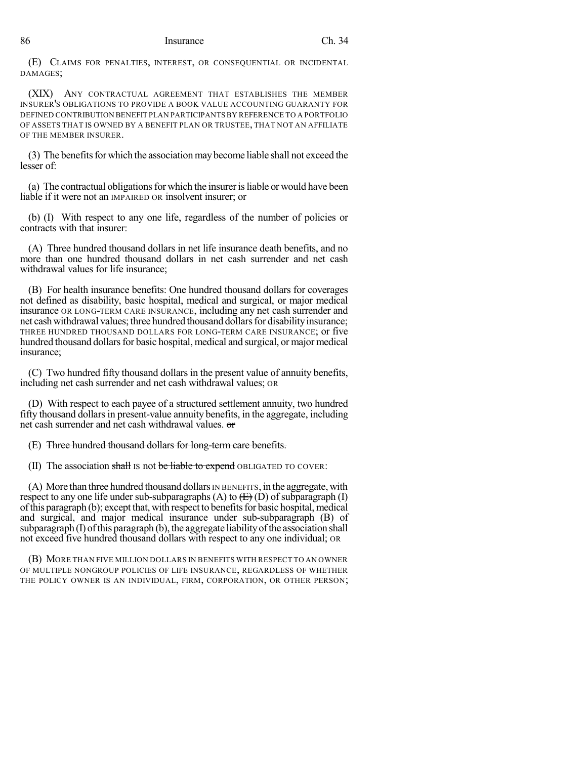(E) CLAIMS FOR PENALTIES, INTEREST, OR CONSEQUENTIAL OR INCIDENTAL DAMAGES;

(XIX) ANY CONTRACTUAL AGREEMENT THAT ESTABLISHES THE MEMBER INSURER'S OBLIGATIONS TO PROVIDE A BOOK VALUE ACCOUNTING GUARANTY FOR DEFINED CONTRIBUTION BENEFIT PLAN PARTICIPANTSBY REFERENCE TO A PORTFOLIO OF ASSETS THAT IS OWNED BY A BENEFIT PLAN OR TRUSTEE, THAT NOT AN AFFILIATE OF THE MEMBER INSURER.

(3) The benefits for which the association may become liable shall not exceed the lesser of:

(a) The contractual obligationsfor which the insurerisliable or would have been liable if it were not an IMPAIRED OR insolvent insurer; or

(b) (I) With respect to any one life, regardless of the number of policies or contracts with that insurer:

(A) Three hundred thousand dollars in net life insurance death benefits, and no more than one hundred thousand dollars in net cash surrender and net cash withdrawal values for life insurance;

(B) For health insurance benefits: One hundred thousand dollars for coverages not defined as disability, basic hospital, medical and surgical, or major medical insurance OR LONG-TERM CARE INSURANCE, including any net cash surrender and net cash withdrawal values; three hundred thousand dollars for disability insurance; THREE HUNDRED THOUSAND DOLLARS FOR LONG-TERM CARE INSURANCE; or five hundred thousand dollars for basic hospital, medical and surgical, or major medical insurance;

(C) Two hundred fifty thousand dollars in the present value of annuity benefits, including net cash surrender and net cash withdrawal values; OR

(D) With respect to each payee of a structured settlement annuity, two hundred fifty thousand dollarsin present-value annuity benefits, in the aggregate, including net cash surrender and net cash withdrawal values. or

(E) Three hundred thousand dollars for long-term care benefits.

(II) The association shall is not be liable to expend OBLIGATED TO COVER:

 $(A)$  More than three hundred thousand dollars IN BENEFITS, in the aggregate, with respect to any one life under sub-subparagraphs (A) to  $\left(\frac{F}{F}\right)$  (D) of subparagraph (I) of this paragraph  $(b)$ ; except that, with respect to benefits for basic hospital, medical and surgical, and major medical insurance under sub-subparagraph (B) of subparagraph  $(I)$  of this paragraph  $(b)$ , the aggregate liability of the association shall not exceed five hundred thousand dollars with respect to any one individual; OR

(B) MORE THAN FIVE MILLION DOLLARS IN BENEFITS WITH RESPECT TO AN OWNER OF MULTIPLE NONGROUP POLICIES OF LIFE INSURANCE, REGARDLESS OF WHETHER THE POLICY OWNER IS AN INDIVIDUAL, FIRM, CORPORATION, OR OTHER PERSON;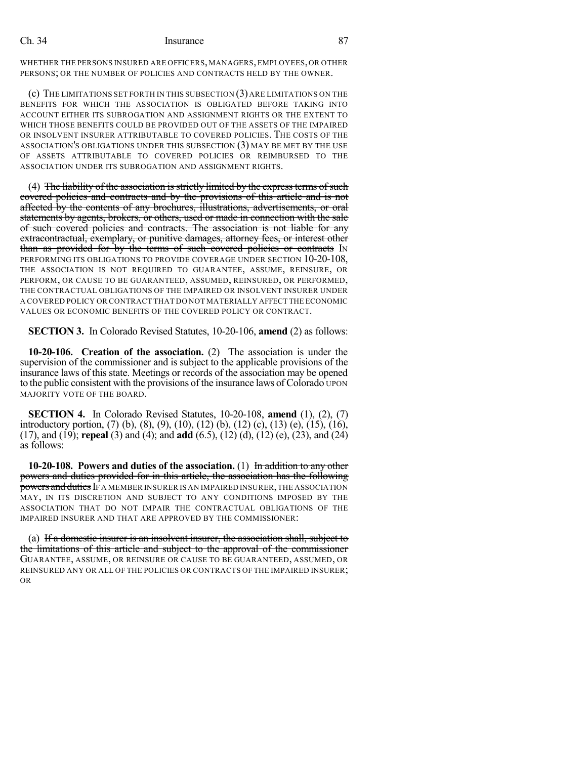WHETHER THE PERSONS INSURED ARE OFFICERS, MANAGERS, EMPLOYEES, OR OTHER PERSONS; OR THE NUMBER OF POLICIES AND CONTRACTS HELD BY THE OWNER.

(c) THE LIMITATIONS SET FORTH IN THIS SUBSECTION (3) ARE LIMITATIONS ON THE BENEFITS FOR WHICH THE ASSOCIATION IS OBLIGATED BEFORE TAKING INTO ACCOUNT EITHER ITS SUBROGATION AND ASSIGNMENT RIGHTS OR THE EXTENT TO WHICH THOSE BENEFITS COULD BE PROVIDED OUT OF THE ASSETS OF THE IMPAIRED OR INSOLVENT INSURER ATTRIBUTABLE TO COVERED POLICIES. THE COSTS OF THE ASSOCIATION'S OBLIGATIONS UNDER THIS SUBSECTION (3) MAY BE MET BY THE USE OF ASSETS ATTRIBUTABLE TO COVERED POLICIES OR REIMBURSED TO THE ASSOCIATION UNDER ITS SUBROGATION AND ASSIGNMENT RIGHTS.

(4) The liability of the association is strictly limited by the express terms of such covered policies and contracts and by the provisions of this article and is not affected by the contents of any brochures, illustrations, advertisements, or oral statements by agents, brokers, or others, used or made in connection with the sale of such covered policies and contracts. The association is not liable for any extracontractual, exemplary, or punitive damages, attorney fees, or interest other than as provided for by the terms of such covered policies or contracts IN PERFORMING ITS OBLIGATIONS TO PROVIDE COVERAGE UNDER SECTION 10-20-108, THE ASSOCIATION IS NOT REQUIRED TO GUARANTEE, ASSUME, REINSURE, OR PERFORM, OR CAUSE TO BE GUARANTEED, ASSUMED, REINSURED, OR PERFORMED, THE CONTRACTUAL OBLIGATIONS OF THE IMPAIRED OR INSOLVENT INSURER UNDER A COVERED POLICY OR CONTRACT THAT DO NOT MATERIALLY AFFECT THE ECONOMIC VALUES OR ECONOMIC BENEFITS OF THE COVERED POLICY OR CONTRACT.

**SECTION 3.** In Colorado Revised Statutes, 10-20-106, **amend** (2) as follows:

**10-20-106. Creation of the association.** (2) The association is under the supervision of the commissioner and is subject to the applicable provisions of the insurance laws of this state. Meetings or records of the association may be opened to the public consistent with the provisions of the insurance laws of Colorado UPON MAJORITY VOTE OF THE BOARD.

**SECTION 4.** In Colorado Revised Statutes, 10-20-108, **amend** (1), (2), (7) introductory portion, (7) (b), (8), (9), (10), (12) (b), (12) (c), (13) (e), (15), (16), (17), and (19); **repeal** (3) and (4); and **add** (6.5), (12) (d), (12) (e), (23), and (24) as follows:

**10-20-108. Powers and duties of the association.** (1) In addition to any other powers and duties provided for in this article, the association has the following powers and duties IF A MEMBER INSURER IS AN IMPAIRED INSURER, THE ASSOCIATION MAY, IN ITS DISCRETION AND SUBJECT TO ANY CONDITIONS IMPOSED BY THE ASSOCIATION THAT DO NOT IMPAIR THE CONTRACTUAL OBLIGATIONS OF THE IMPAIRED INSURER AND THAT ARE APPROVED BY THE COMMISSIONER:

(a) If a domestic insurer is an insolvent insurer, the association shall, subject to the limitations of this article and subject to the approval of the commissioner GUARANTEE, ASSUME, OR REINSURE OR CAUSE TO BE GUARANTEED, ASSUMED, OR REINSURED ANY OR ALL OF THE POLICIES OR CONTRACTS OF THE IMPAIRED INSURER; OR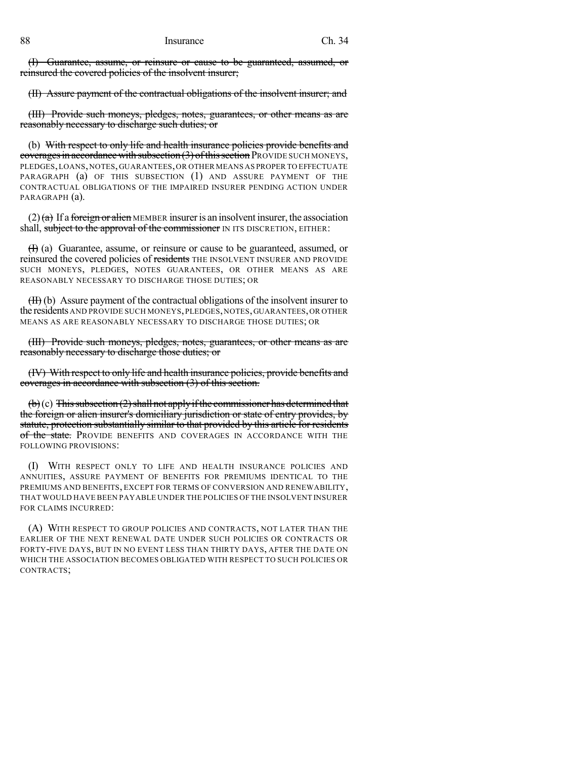(I) Guarantee, assume, or reinsure or cause to be guaranteed, assumed, or reinsured the covered policies of the insolvent insurer;

(II) Assure payment of the contractual obligations of the insolvent insurer; and

(III) Provide such moneys, pledges, notes, guarantees, or other means as are reasonably necessary to discharge such duties; or

(b) With respect to only life and health insurance policies provide benefits and coverages in accordance with subsection  $(3)$  of this section PROVIDE SUCH MONEYS, PLEDGES,LOANS,NOTES,GUARANTEES,OR OTHER MEANS AS PROPER TO EFFECTUATE PARAGRAPH (a) OF THIS SUBSECTION (1) AND ASSURE PAYMENT OF THE CONTRACTUAL OBLIGATIONS OF THE IMPAIRED INSURER PENDING ACTION UNDER PARAGRAPH (a).

(2)  $(a)$  If a foreign or alien MEMBER insurer is an insolvent insurer, the association shall, subject to the approval of the commissioner IN ITS DISCRETION, EITHER:

(I) (a) Guarantee, assume, or reinsure or cause to be guaranteed, assumed, or reinsured the covered policies of residents THE INSOLVENT INSURER AND PROVIDE SUCH MONEYS, PLEDGES, NOTES GUARANTEES, OR OTHER MEANS AS ARE REASONABLY NECESSARY TO DISCHARGE THOSE DUTIES; OR

 $(H)$  (b) Assure payment of the contractual obligations of the insolvent insurer to the residents AND PROVIDE SUCH MONEYS,PLEDGES,NOTES,GUARANTEES,OR OTHER MEANS AS ARE REASONABLY NECESSARY TO DISCHARGE THOSE DUTIES; OR

(III) Provide such moneys, pledges, notes, guarantees, or other means as are reasonably necessary to discharge those duties; or

(IV) With respect to only life and health insurance policies, provide benefits and coverages in accordance with subsection (3) of this section.

 $(\theta)$  (c) This subsection (2) shall not apply if the commissioner has determined that the foreign or alien insurer's domiciliary jurisdiction or state of entry provides, by statute, protection substantially similar to that provided by this article for residents of the state. Provide benefits and coverages in accordance with the FOLLOWING PROVISIONS:

(I) WITH RESPECT ONLY TO LIFE AND HEALTH INSURANCE POLICIES AND ANNUITIES, ASSURE PAYMENT OF BENEFITS FOR PREMIUMS IDENTICAL TO THE PREMIUMS AND BENEFITS, EXCEPT FOR TERMS OF CONVERSION AND RENEWABILITY, THAT WOULD HAVE BEEN PAYABLE UNDER THE POLICIES OF THE INSOLVENT INSURER FOR CLAIMS INCURRED:

(A) WITH RESPECT TO GROUP POLICIES AND CONTRACTS, NOT LATER THAN THE EARLIER OF THE NEXT RENEWAL DATE UNDER SUCH POLICIES OR CONTRACTS OR FORTY-FIVE DAYS, BUT IN NO EVENT LESS THAN THIRTY DAYS, AFTER THE DATE ON WHICH THE ASSOCIATION BECOMES OBLIGATED WITH RESPECT TO SUCH POLICIES OR CONTRACTS;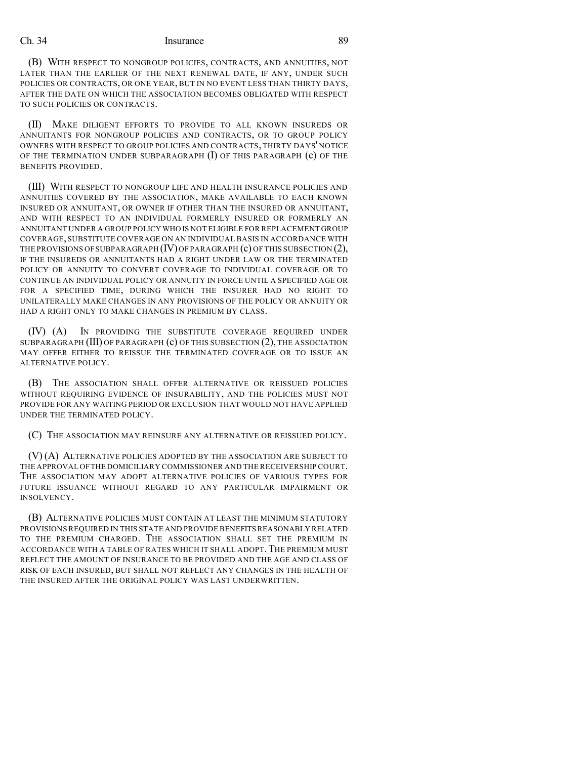(B) WITH RESPECT TO NONGROUP POLICIES, CONTRACTS, AND ANNUITIES, NOT LATER THAN THE EARLIER OF THE NEXT RENEWAL DATE, IF ANY, UNDER SUCH POLICIES OR CONTRACTS, OR ONE YEAR, BUT IN NO EVENT LESS THAN THIRTY DAYS, AFTER THE DATE ON WHICH THE ASSOCIATION BECOMES OBLIGATED WITH RESPECT TO SUCH POLICIES OR CONTRACTS.

(II) MAKE DILIGENT EFFORTS TO PROVIDE TO ALL KNOWN INSUREDS OR ANNUITANTS FOR NONGROUP POLICIES AND CONTRACTS, OR TO GROUP POLICY OWNERS WITH RESPECT TO GROUP POLICIES AND CONTRACTS, THIRTY DAYS' NOTICE OF THE TERMINATION UNDER SUBPARAGRAPH  $(I)$  OF THIS PARAGRAPH  $(c)$  OF THE BENEFITS PROVIDED.

(III) WITH RESPECT TO NONGROUP LIFE AND HEALTH INSURANCE POLICIES AND ANNUITIES COVERED BY THE ASSOCIATION, MAKE AVAILABLE TO EACH KNOWN INSURED OR ANNUITANT, OR OWNER IF OTHER THAN THE INSURED OR ANNUITANT, AND WITH RESPECT TO AN INDIVIDUAL FORMERLY INSURED OR FORMERLY AN ANNUITANT UNDER A GROUP POLICY WHO IS NOT ELIGIBLE FOR REPLACEMENT GROUP COVERAGE, SUBSTITUTE COVERAGE ON AN INDIVIDUAL BASIS IN ACCORDANCE WITH THE PROVISIONS OF SUBPARAGRAPH  $(IV)$  OF PARAGRAPH  $(c)$  OF THIS SUBSECTION  $(2)$ , IF THE INSUREDS OR ANNUITANTS HAD A RIGHT UNDER LAW OR THE TERMINATED POLICY OR ANNUITY TO CONVERT COVERAGE TO INDIVIDUAL COVERAGE OR TO CONTINUE AN INDIVIDUAL POLICY OR ANNUITY IN FORCE UNTIL A SPECIFIED AGE OR FOR A SPECIFIED TIME, DURING WHICH THE INSURER HAD NO RIGHT TO UNILATERALLY MAKE CHANGES IN ANY PROVISIONS OF THE POLICY OR ANNUITY OR HAD A RIGHT ONLY TO MAKE CHANGES IN PREMIUM BY CLASS.

(IV) (A) IN PROVIDING THE SUBSTITUTE COVERAGE REQUIRED UNDER SUBPARAGRAPH (III) OF PARAGRAPH (c) OF THIS SUBSECTION (2), THE ASSOCIATION MAY OFFER EITHER TO REISSUE THE TERMINATED COVERAGE OR TO ISSUE AN ALTERNATIVE POLICY.

(B) THE ASSOCIATION SHALL OFFER ALTERNATIVE OR REISSUED POLICIES WITHOUT REQUIRING EVIDENCE OF INSURABILITY, AND THE POLICIES MUST NOT PROVIDE FOR ANY WAITING PERIOD OR EXCLUSION THAT WOULD NOT HAVE APPLIED UNDER THE TERMINATED POLICY.

(C) THE ASSOCIATION MAY REINSURE ANY ALTERNATIVE OR REISSUED POLICY.

(V) (A) ALTERNATIVE POLICIES ADOPTED BY THE ASSOCIATION ARE SUBJECT TO THE APPROVAL OFTHE DOMICILIARY COMMISSIONER AND THE RECEIVERSHIP COURT. THE ASSOCIATION MAY ADOPT ALTERNATIVE POLICIES OF VARIOUS TYPES FOR FUTURE ISSUANCE WITHOUT REGARD TO ANY PARTICULAR IMPAIRMENT OR INSOLVENCY.

(B) ALTERNATIVE POLICIES MUST CONTAIN AT LEAST THE MINIMUM STATUTORY PROVISIONS REQUIRED IN THIS STATE AND PROVIDE BENEFITS REASONABLY RELATED TO THE PREMIUM CHARGED. THE ASSOCIATION SHALL SET THE PREMIUM IN ACCORDANCE WITH A TABLE OF RATES WHICH IT SHALL ADOPT. THE PREMIUM MUST REFLECT THE AMOUNT OF INSURANCE TO BE PROVIDED AND THE AGE AND CLASS OF RISK OF EACH INSURED, BUT SHALL NOT REFLECT ANY CHANGES IN THE HEALTH OF THE INSURED AFTER THE ORIGINAL POLICY WAS LAST UNDERWRITTEN.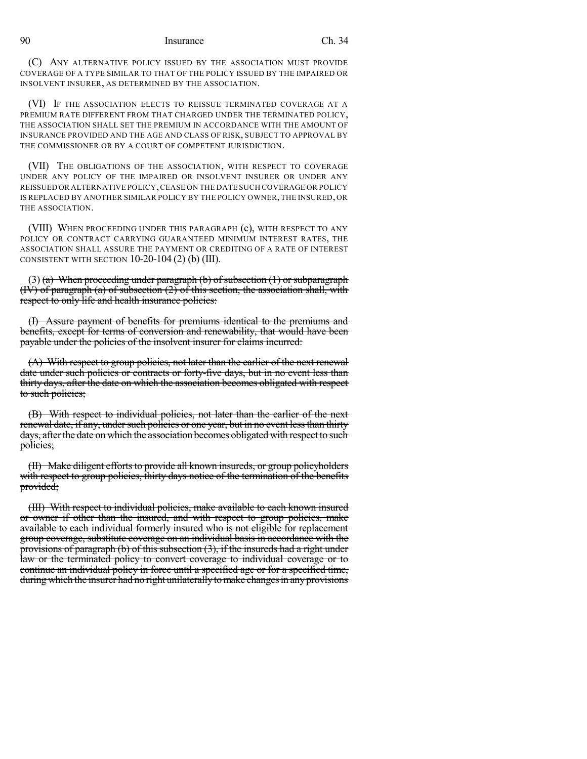(C) ANY ALTERNATIVE POLICY ISSUED BY THE ASSOCIATION MUST PROVIDE COVERAGE OF A TYPE SIMILAR TO THAT OF THE POLICY ISSUED BY THE IMPAIRED OR INSOLVENT INSURER, AS DETERMINED BY THE ASSOCIATION.

(VI) IF THE ASSOCIATION ELECTS TO REISSUE TERMINATED COVERAGE AT A PREMIUM RATE DIFFERENT FROM THAT CHARGED UNDER THE TERMINATED POLICY, THE ASSOCIATION SHALL SET THE PREMIUM IN ACCORDANCE WITH THE AMOUNT OF INSURANCE PROVIDED AND THE AGE AND CLASS OF RISK, SUBJECT TO APPROVAL BY THE COMMISSIONER OR BY A COURT OF COMPETENT JURISDICTION.

(VII) THE OBLIGATIONS OF THE ASSOCIATION, WITH RESPECT TO COVERAGE UNDER ANY POLICY OF THE IMPAIRED OR INSOLVENT INSURER OR UNDER ANY REISSUED OR ALTERNATIVE POLICY,CEASE ON THE DATE SUCH COVERAGE OR POLICY IS REPLACED BY ANOTHER SIMILAR POLICY BY THE POLICY OWNER,THE INSURED, OR THE ASSOCIATION.

(VIII) WHEN PROCEEDING UNDER THIS PARAGRAPH (c), WITH RESPECT TO ANY POLICY OR CONTRACT CARRYING GUARANTEED MINIMUM INTEREST RATES, THE ASSOCIATION SHALL ASSURE THE PAYMENT OR CREDITING OF A RATE OF INTEREST CONSISTENT WITH SECTION  $10-20-104$  (2) (b) (III).

 $(3)$  (a) When proceeding under paragraph (b) of subsection (1) or subparagraph (IV) of paragraph (a) of subsection (2) of this section, the association shall, with respect to only life and health insurance policies:

(I) Assure payment of benefits for premiums identical to the premiums and benefits, except for terms of conversion and renewability, that would have been payable under the policies of the insolvent insurer for claims incurred:

(A) With respect to group policies, not later than the earlier of the next renewal date under such policies or contracts or forty-five days, but in no event less than thirty days, after the date on which the association becomes obligated with respect to such policies;

(B) With respect to individual policies, not later than the earlier of the next renewal date, if any, under such policies or one year, but in no event less than thirty days, afterthe date on which the association becomes obligated with respect to such policies;

(II) Make diligent efforts to provide all known insureds, or group policyholders with respect to group policies, thirty days notice of the termination of the benefits provided;

(III) With respect to individual policies, make available to each known insured or owner if other than the insured, and with respect to group policies, make available to each individual formerly insured who is not eligible for replacement group coverage, substitute coverage on an individual basis in accordance with the provisions of paragraph (b) of this subsection (3), if the insureds had a right under law or the terminated policy to convert coverage to individual coverage or to continue an individual policy in force until a specified age or for a specified time, during which the insurer had no right unilaterally to make changes in any provisions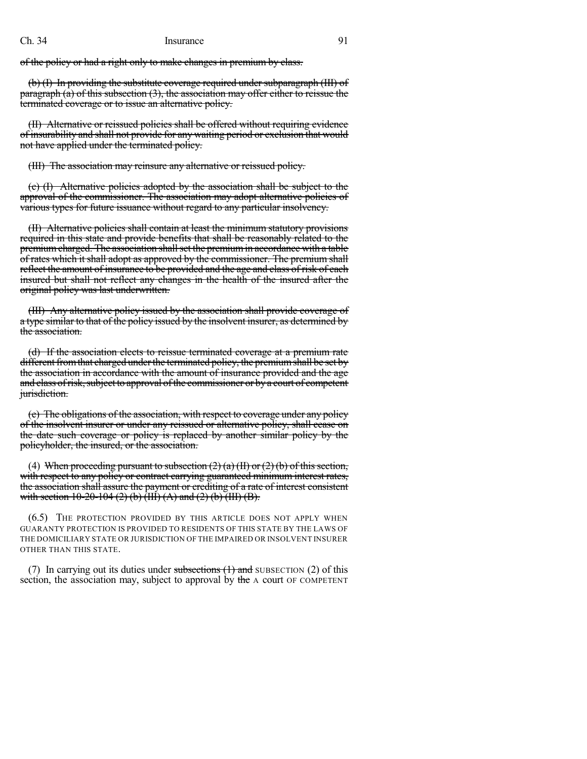of the policy or had a right only to make changes in premium by class.

(b) (I) In providing the substitute coverage required under subparagraph (III) of paragraph  $(a)$  of this subsection  $(3)$ , the association may offer either to reissue the terminated coverage or to issue an alternative policy.

(II) Alternative or reissued policies shall be offered without requiring evidence of insurability and shall not provide for any waiting period or exclusion that would not have applied under the terminated policy.

(III) The association may reinsure any alternative or reissued policy.

(c) (I) Alternative policies adopted by the association shall be subject to the approval of the commissioner. The association may adopt alternative policies of various types for future issuance without regard to any particular insolvency.

(II) Alternative policies shall contain at least the minimum statutory provisions required in this state and provide benefits that shall be reasonably related to the premium charged. The association shall set the premium in accordance with a table of rates which it shall adopt as approved by the commissioner. The premium shall reflect the amount of insurance to be provided and the age and class of risk of each insured but shall not reflect any changes in the health of the insured after the original policy was last underwritten.

(III) Any alternative policy issued by the association shall provide coverage of a type similar to that of the policy issued by the insolvent insurer, as determined by the association.

(d) If the association elects to reissue terminated coverage at a premium rate different from that charged under the terminated policy, the premium shall be set by the association in accordance with the amount of insurance provided and the age and class of risk, subject to approval of the commissioner or by a court of competent jurisdiction.

(e) The obligations of the association, with respect to coverage under any policy of the insolvent insurer or under any reissued or alternative policy, shall cease on the date such coverage or policy is replaced by another similar policy by the policyholder, the insured, or the association.

(4) When proceeding pursuant to subsection  $(2)$  (a)  $(H)$  or  $(2)$  (b) of this section, with respect to any policy or contract carrying guaranteed minimum interest rates, the association shall assure the payment or crediting of a rate of interest consistent with section 10-20-104 (2) (b)  $(HI) (A)$  and (2) (b)  $(HI) (B)$ .

(6.5) THE PROTECTION PROVIDED BY THIS ARTICLE DOES NOT APPLY WHEN GUARANTY PROTECTION IS PROVIDED TO RESIDENTS OF THIS STATE BY THE LAWS OF THE DOMICILIARY STATE OR JURISDICTION OF THE IMPAIRED OR INSOLVENT INSURER OTHER THAN THIS STATE.

(7) In carrying out its duties under subsections  $(1)$  and SUBSECTION (2) of this section, the association may, subject to approval by the A court OF COMPETENT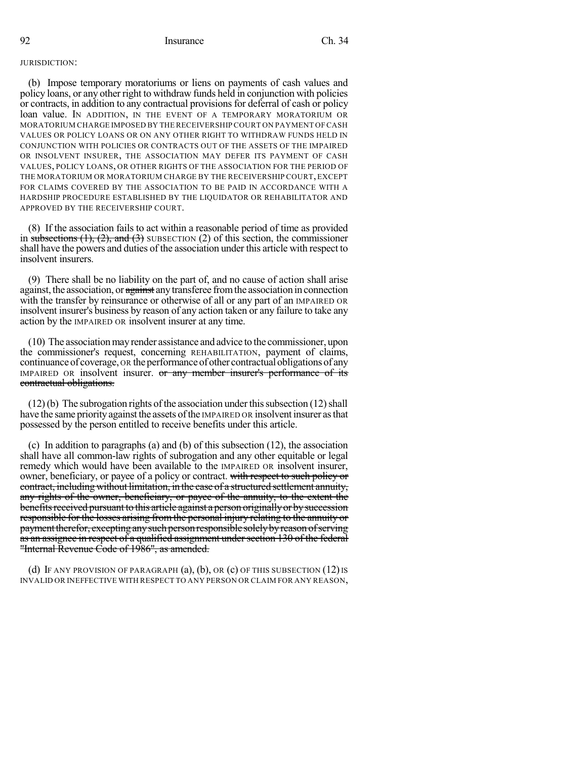#### JURISDICTION:

(b) Impose temporary moratoriums or liens on payments of cash values and policy loans, or any other right to withdraw funds held in conjunction with policies or contracts, in addition to any contractual provisionsfor deferral of cash or policy loan value. IN ADDITION, IN THE EVENT OF A TEMPORARY MORATORIUM OR MORATORIUM CHARGE IMPOSED BY THE RECEIVERSHIP COURT ON PAYMENT OF CASH VALUES OR POLICY LOANS OR ON ANY OTHER RIGHT TO WITHDRAW FUNDS HELD IN CONJUNCTION WITH POLICIES OR CONTRACTS OUT OF THE ASSETS OF THE IMPAIRED OR INSOLVENT INSURER, THE ASSOCIATION MAY DEFER ITS PAYMENT OF CASH VALUES, POLICY LOANS, OR OTHER RIGHTS OF THE ASSOCIATION FOR THE PERIOD OF THE MORATORIUM OR MORATORIUM CHARGE BY THE RECEIVERSHIP COURT, EXCEPT FOR CLAIMS COVERED BY THE ASSOCIATION TO BE PAID IN ACCORDANCE WITH A HARDSHIP PROCEDURE ESTABLISHED BY THE LIQUIDATOR OR REHABILITATOR AND APPROVED BY THE RECEIVERSHIP COURT.

(8) If the association fails to act within a reasonable period of time as provided in subsections  $(1)$ ,  $(2)$ , and  $(3)$  SUBSECTION  $(2)$  of this section, the commissioner shall have the powers and duties of the association under this article with respect to insolvent insurers.

(9) There shall be no liability on the part of, and no cause of action shall arise against, the association, or against any transferee from the association in connection with the transfer by reinsurance or otherwise of all or any part of an IMPAIRED OR insolvent insurer's business by reason of any action taken or any failure to take any action by the IMPAIRED OR insolvent insurer at any time.

(10) The association may render assistance and advice to the commissioner, upon the commissioner's request, concerning REHABILITATION, payment of claims, continuance of coverage, OR the performance of other contractual obligations of any IMPAIRED OR insolvent insurer. or any member insurer's performance of its contractual obligations.

 $(12)$  (b) The subrogation rights of the association under this subsection  $(12)$  shall have the same priority against the assets of the IMPAIRED OR insolvent insurer as that possessed by the person entitled to receive benefits under this article.

(c) In addition to paragraphs (a) and (b) of this subsection (12), the association shall have all common-law rights of subrogation and any other equitable or legal remedy which would have been available to the IMPAIRED OR insolvent insurer, owner, beneficiary, or payee of a policy or contract. with respect to such policy or contract, including without limitation, in the case of a structured settlement annuity, any rights of the owner, beneficiary, or payee of the annuity, to the extent the benefits received pursuant to this article against a person originally or by succession responsible for the losses arising from the personal injury relating to the annuity or paymenttherefor, exceptinganysuchpersonresponsible solelybyreason ofserving as an assignee in respect of a qualified assignment under section 130 of the federal "Internal Revenue Code of 1986", as amended.

(d) IF ANY PROVISION OF PARAGRAPH  $(a)$ ,  $(b)$ , OR  $(c)$  Of this subsection  $(12)$  is INVALID OR INEFFECTIVE WITH RESPECT TO ANY PERSON OR CLAIM FOR ANY REASON,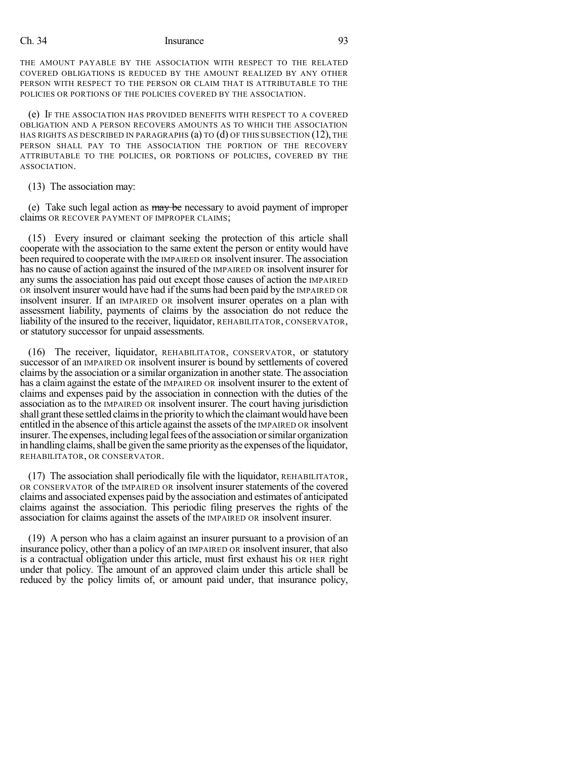THE AMOUNT PAYABLE BY THE ASSOCIATION WITH RESPECT TO THE RELATED COVERED OBLIGATIONS IS REDUCED BY THE AMOUNT REALIZED BY ANY OTHER PERSON WITH RESPECT TO THE PERSON OR CLAIM THAT IS ATTRIBUTABLE TO THE POLICIES OR PORTIONS OF THE POLICIES COVERED BY THE ASSOCIATION.

(e) IF THE ASSOCIATION HAS PROVIDED BENEFITS WITH RESPECT TO A COVERED OBLIGATION AND A PERSON RECOVERS AMOUNTS AS TO WHICH THE ASSOCIATION HAS RIGHTS AS DESCRIBED IN PARAGRAPHS  $(a)$  to  $(d)$  of this subsection  $(12)$ , the PERSON SHALL PAY TO THE ASSOCIATION THE PORTION OF THE RECOVERY ATTRIBUTABLE TO THE POLICIES, OR PORTIONS OF POLICIES, COVERED BY THE ASSOCIATION.

(13) The association may:

(e) Take such legal action as  $\frac{m}{y}$  be necessary to avoid payment of improper claims OR RECOVER PAYMENT OF IMPROPER CLAIMS;

(15) Every insured or claimant seeking the protection of this article shall cooperate with the association to the same extent the person or entity would have been required to cooperate with the IMPAIRED OR insolvent insurer. The association has no cause of action against the insured of the IMPAIRED OR insolvent insurer for any sums the association has paid out except those causes of action the IMPAIRED OR insolvent insurer would have had if the sums had been paid by the IMPAIRED OR insolvent insurer. If an IMPAIRED OR insolvent insurer operates on a plan with assessment liability, payments of claims by the association do not reduce the liability of the insured to the receiver, liquidator, REHABILITATOR, CONSERVATOR, or statutory successor for unpaid assessments.

(16) The receiver, liquidator, REHABILITATOR, CONSERVATOR, or statutory successor of an IMPAIRED OR insolvent insurer is bound by settlements of covered claims by the association or a similar organization in another state. The association has a claim against the estate of the IMPAIRED OR insolvent insurer to the extent of claims and expenses paid by the association in connection with the duties of the association as to the IMPAIRED OR insolvent insurer. The court having jurisdiction shall grant these settled claims in the priority to which the claimant would have been entitled in the absence ofthis article against the assets of the IMPAIRED OR insolvent insurer. The expenses, including legal fees of the association or similar organization in handling claims, shall be given the same priority as the expenses of the liquidator, REHABILITATOR, OR CONSERVATOR.

(17) The association shall periodically file with the liquidator, REHABILITATOR, OR CONSERVATOR of the IMPAIRED OR insolvent insurer statements of the covered claims and associated expenses paid by the association and estimates of anticipated claims against the association. This periodic filing preserves the rights of the association for claims against the assets of the IMPAIRED OR insolvent insurer.

(19) A person who has a claim against an insurer pursuant to a provision of an insurance policy, other than a policy of an IMPAIRED OR insolvent insurer, that also is a contractual obligation under this article, must first exhaust his OR HER right under that policy. The amount of an approved claim under this article shall be reduced by the policy limits of, or amount paid under, that insurance policy,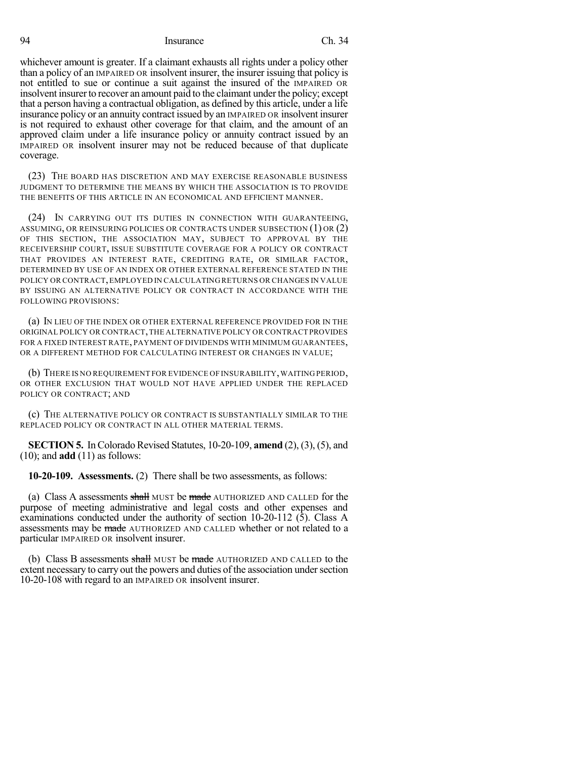whichever amount is greater. If a claimant exhausts all rights under a policy other than a policy of an IMPAIRED OR insolvent insurer, the insurer issuing that policy is not entitled to sue or continue a suit against the insured of the IMPAIRED OR insolvent insurer to recover an amount paid to the claimant under the policy; except that a person having a contractual obligation, as defined by this article, under a life insurance policy or an annuity contract issued by an IMPAIRED OR insolvent insurer is not required to exhaust other coverage for that claim, and the amount of an approved claim under a life insurance policy or annuity contract issued by an IMPAIRED OR insolvent insurer may not be reduced because of that duplicate coverage.

(23) THE BOARD HAS DISCRETION AND MAY EXERCISE REASONABLE BUSINESS JUDGMENT TO DETERMINE THE MEANS BY WHICH THE ASSOCIATION IS TO PROVIDE THE BENEFITS OF THIS ARTICLE IN AN ECONOMICAL AND EFFICIENT MANNER.

(24) IN CARRYING OUT ITS DUTIES IN CONNECTION WITH GUARANTEEING, ASSUMING, OR REINSURING POLICIES OR CONTRACTS UNDER SUBSECTION (1) OR (2) OF THIS SECTION, THE ASSOCIATION MAY, SUBJECT TO APPROVAL BY THE RECEIVERSHIP COURT, ISSUE SUBSTITUTE COVERAGE FOR A POLICY OR CONTRACT THAT PROVIDES AN INTEREST RATE, CREDITING RATE, OR SIMILAR FACTOR, DETERMINED BY USE OF AN INDEX OR OTHER EXTERNAL REFERENCE STATED IN THE POLICY OR CONTRACT,EMPLOYED IN CALCULATING RETURNS OR CHANGES IN VALUE BY ISSUING AN ALTERNATIVE POLICY OR CONTRACT IN ACCORDANCE WITH THE FOLLOWING PROVISIONS:

(a) IN LIEU OF THE INDEX OR OTHER EXTERNAL REFERENCE PROVIDED FOR IN THE ORIGINAL POLICY OR CONTRACT,THE ALTERNATIVE POLICY OR CONTRACT PROVIDES FOR A FIXED INTEREST RATE, PAYMENT OF DIVIDENDS WITH MINIMUM GUARANTEES, OR A DIFFERENT METHOD FOR CALCULATING INTEREST OR CHANGES IN VALUE;

(b) THERE IS NO REQUIREMENT FOR EVIDENCE OF INSURABILITY, WAITING PERIOD, OR OTHER EXCLUSION THAT WOULD NOT HAVE APPLIED UNDER THE REPLACED POLICY OR CONTRACT; AND

(c) THE ALTERNATIVE POLICY OR CONTRACT IS SUBSTANTIALLY SIMILAR TO THE REPLACED POLICY OR CONTRACT IN ALL OTHER MATERIAL TERMS.

**SECTION 5.** In Colorado Revised Statutes, 10-20-109, **amend** (2), (3), (5), and (10); and **add** (11) as follows:

**10-20-109. Assessments.** (2) There shall be two assessments, as follows:

(a) Class A assessments shall MUST be made AUTHORIZED AND CALLED for the purpose of meeting administrative and legal costs and other expenses and examinations conducted under the authority of section 10-20-112 (5). Class A assessments may be made AUTHORIZED AND CALLED whether or not related to a particular IMPAIRED OR insolvent insurer.

(b) Class B assessments shall MUST be made AUTHORIZED AND CALLED to the extent necessary to carry out the powers and duties of the association under section 10-20-108 with regard to an IMPAIRED OR insolvent insurer.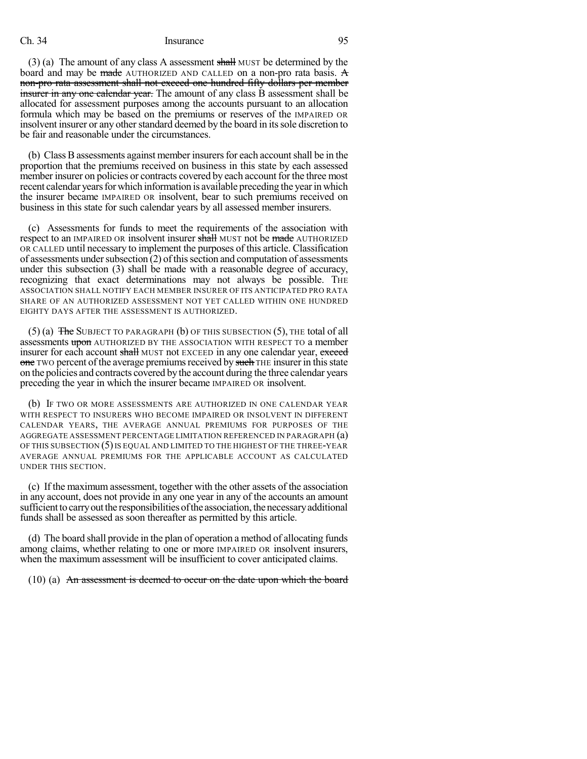(3) (a) The amount of any class A assessment shall MUST be determined by the board and may be made AUTHORIZED AND CALLED on a non-pro rata basis.  $\mathbf{\hat{A}}$ non-pro rata assessment shall not exceed one hundred fifty dollars per member insurer in any one calendar year. The amount of any class B assessment shall be allocated for assessment purposes among the accounts pursuant to an allocation formula which may be based on the premiums or reserves of the IMPAIRED OR insolvent insurer or any other standard deemed by the board in its sole discretion to be fair and reasonable under the circumstances.

(b) Class Bassessments against member insurersfor each accountshall be in the proportion that the premiums received on business in this state by each assessed member insurer on policies or contracts covered by each account for the three most recent calendar years for which information is available preceding the year in which the insurer became IMPAIRED OR insolvent, bear to such premiums received on business in this state for such calendar years by all assessed member insurers.

(c) Assessments for funds to meet the requirements of the association with respect to an IMPAIRED OR insolvent insurer shall MUST not be made AUTHORIZED OR CALLED until necessary to implement the purposes of this article. Classification of assessments under subsection  $(2)$  of this section and computation of assessments under this subsection (3) shall be made with a reasonable degree of accuracy, recognizing that exact determinations may not always be possible. THE ASSOCIATION SHALL NOTIFY EACH MEMBER INSURER OF ITS ANTICIPATED PRO RATA SHARE OF AN AUTHORIZED ASSESSMENT NOT YET CALLED WITHIN ONE HUNDRED EIGHTY DAYS AFTER THE ASSESSMENT IS AUTHORIZED.

(5) (a) The SUBJECT TO PARAGRAPH (b) OF THIS SUBSECTION (5), THE total of all assessments upon AUTHORIZED BY THE ASSOCIATION WITH RESPECT TO a member insurer for each account shall MUST not EXCEED in any one calendar year, exceed one TWO percent of the average premiums received by such THE insurer in this state on the policies and contracts covered by the account during the three calendar years preceding the year in which the insurer became IMPAIRED OR insolvent.

(b) IF TWO OR MORE ASSESSMENTS ARE AUTHORIZED IN ONE CALENDAR YEAR WITH RESPECT TO INSURERS WHO BECOME IMPAIRED OR INSOLVENT IN DIFFERENT CALENDAR YEARS, THE AVERAGE ANNUAL PREMIUMS FOR PURPOSES OF THE AGGREGATE ASSESSMENT PERCENTAGE LIMITATION REFERENCED IN PARAGRAPH (a) OF THIS SUBSECTION (5)IS EQUAL AND LIMITED TO THE HIGHEST OF THE THREE-YEAR AVERAGE ANNUAL PREMIUMS FOR THE APPLICABLE ACCOUNT AS CALCULATED UNDER THIS SECTION.

(c) If the maximum assessment, together with the other assets of the association in any account, does not provide in any one year in any of the accounts an amount sufficient to carry out the responsibilities of the association, the necessary additional funds shall be assessed as soon thereafter as permitted by this article.

(d) The board shall provide in the plan of operation a method of allocating funds among claims, whether relating to one or more IMPAIRED OR insolvent insurers, when the maximum assessment will be insufficient to cover anticipated claims.

(10) (a) An assessment is deemed to occur on the date upon which the board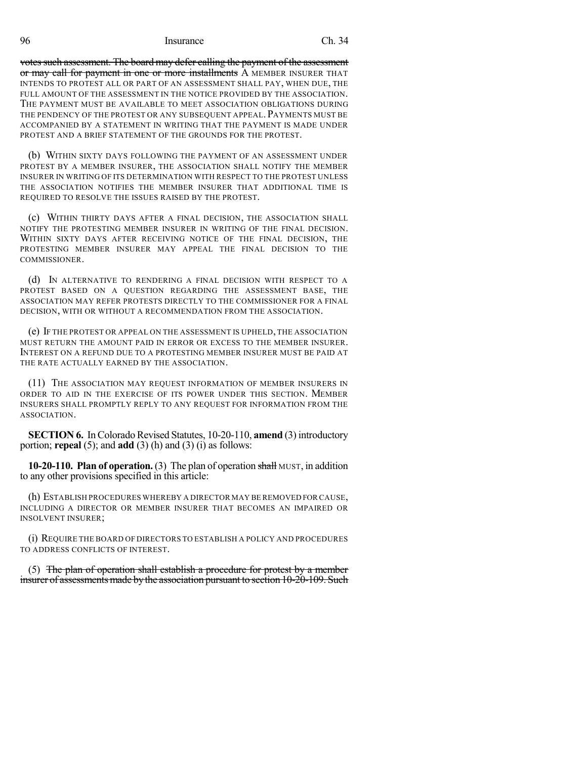votes such assessment. The board may defer calling the payment of the assessment or may call for payment in one or more installments A MEMBER INSURER THAT INTENDS TO PROTEST ALL OR PART OF AN ASSESSMENT SHALL PAY, WHEN DUE, THE FULL AMOUNT OF THE ASSESSMENT IN THE NOTICE PROVIDED BY THE ASSOCIATION. THE PAYMENT MUST BE AVAILABLE TO MEET ASSOCIATION OBLIGATIONS DURING THE PENDENCY OF THE PROTEST OR ANY SUBSEQUENT APPEAL.PAYMENTS MUST BE ACCOMPANIED BY A STATEMENT IN WRITING THAT THE PAYMENT IS MADE UNDER PROTEST AND A BRIEF STATEMENT OF THE GROUNDS FOR THE PROTEST.

(b) WITHIN SIXTY DAYS FOLLOWING THE PAYMENT OF AN ASSESSMENT UNDER PROTEST BY A MEMBER INSURER, THE ASSOCIATION SHALL NOTIFY THE MEMBER INSURER IN WRITING OF ITS DETERMINATION WITH RESPECT TO THE PROTEST UNLESS THE ASSOCIATION NOTIFIES THE MEMBER INSURER THAT ADDITIONAL TIME IS REQUIRED TO RESOLVE THE ISSUES RAISED BY THE PROTEST.

(c) WITHIN THIRTY DAYS AFTER A FINAL DECISION, THE ASSOCIATION SHALL NOTIFY THE PROTESTING MEMBER INSURER IN WRITING OF THE FINAL DECISION. WITHIN SIXTY DAYS AFTER RECEIVING NOTICE OF THE FINAL DECISION, THE PROTESTING MEMBER INSURER MAY APPEAL THE FINAL DECISION TO THE COMMISSIONER.

(d) IN ALTERNATIVE TO RENDERING A FINAL DECISION WITH RESPECT TO A PROTEST BASED ON A QUESTION REGARDING THE ASSESSMENT BASE, THE ASSOCIATION MAY REFER PROTESTS DIRECTLY TO THE COMMISSIONER FOR A FINAL DECISION, WITH OR WITHOUT A RECOMMENDATION FROM THE ASSOCIATION.

(e) IF THE PROTEST OR APPEAL ON THE ASSESSMENT IS UPHELD, THE ASSOCIATION MUST RETURN THE AMOUNT PAID IN ERROR OR EXCESS TO THE MEMBER INSURER. INTEREST ON A REFUND DUE TO A PROTESTING MEMBER INSURER MUST BE PAID AT THE RATE ACTUALLY EARNED BY THE ASSOCIATION.

(11) THE ASSOCIATION MAY REQUEST INFORMATION OF MEMBER INSURERS IN ORDER TO AID IN THE EXERCISE OF ITS POWER UNDER THIS SECTION. MEMBER INSURERS SHALL PROMPTLY REPLY TO ANY REQUEST FOR INFORMATION FROM THE ASSOCIATION.

**SECTION 6.** In Colorado Revised Statutes, 10-20-110, **amend** (3) introductory portion; **repeal** (5); and **add** (3) (h) and (3) (i) as follows:

**10-20-110. Plan of operation.** (3) The plan of operation shall MUST, in addition to any other provisions specified in this article:

(h) ESTABLISH PROCEDURES WHEREBY A DIRECTOR MAY BE REMOVED FOR CAUSE, INCLUDING A DIRECTOR OR MEMBER INSURER THAT BECOMES AN IMPAIRED OR INSOLVENT INSURER;

(i) REQUIRE THE BOARD OF DIRECTORS TO ESTABLISH A POLICY AND PROCEDURES TO ADDRESS CONFLICTS OF INTEREST.

(5) The plan of operation shall establish a procedure for protest by a member insurer of assessments made by the association pursuant to section 10-20-109. Such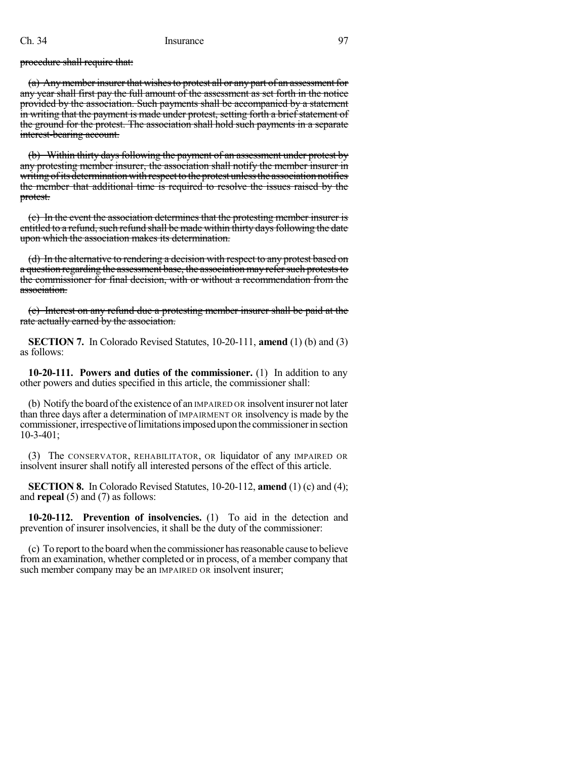procedure shall require that:

(a) Any member insurer that wishes to protest all or any part of an assessment for any year shall first pay the full amount of the assessment as set forth in the notice provided by the association. Such payments shall be accompanied by a statement in writing that the payment is made under protest, setting forth a brief statement of the ground for the protest. The association shall hold such payments in a separate interest-bearing account.

(b) Within thirty days following the payment of an assessment under protest by any protesting member insurer, the association shall notify the member insurer in writing of its determination with respect to the protest unless the association notifies the member that additional time is required to resolve the issues raised by the protest.

(c) In the event the association determines that the protesting member insurer is entitled to a refund, such refund shall be made within thirty days following the date upon which the association makes its determination.

(d) In the alternative to rendering a decision with respect to any protest based on a question regarding the assessment base, the association may refer such protests to the commissioner for final decision, with or without a recommendation from the association.

(e) Interest on any refund due a protesting member insurer shall be paid at the rate actually earned by the association.

**SECTION 7.** In Colorado Revised Statutes, 10-20-111, **amend** (1) (b) and (3) as follows:

**10-20-111. Powers and duties of the commissioner.** (1) In addition to any other powers and duties specified in this article, the commissioner shall:

(b) Notifythe board ofthe existence of an IMPAIRED OR insolvent insurer not later than three days after a determination of IMPAIRMENT OR insolvency is made by the commissioner, irrespective of limitations imposed upon the commissioner in section 10-3-401;

(3) The CONSERVATOR, REHABILITATOR, OR liquidator of any IMPAIRED OR insolvent insurer shall notify all interested persons of the effect of this article.

**SECTION 8.** In Colorado Revised Statutes, 10-20-112, **amend** (1) (c) and (4); and **repeal** (5) and (7) as follows:

**10-20-112. Prevention of insolvencies.** (1) To aid in the detection and prevention of insurer insolvencies, it shall be the duty of the commissioner:

(c) To report to the board when the commissioner hasreasonable cause to believe from an examination, whether completed or in process, of a member company that such member company may be an IMPAIRED OR insolvent insurer;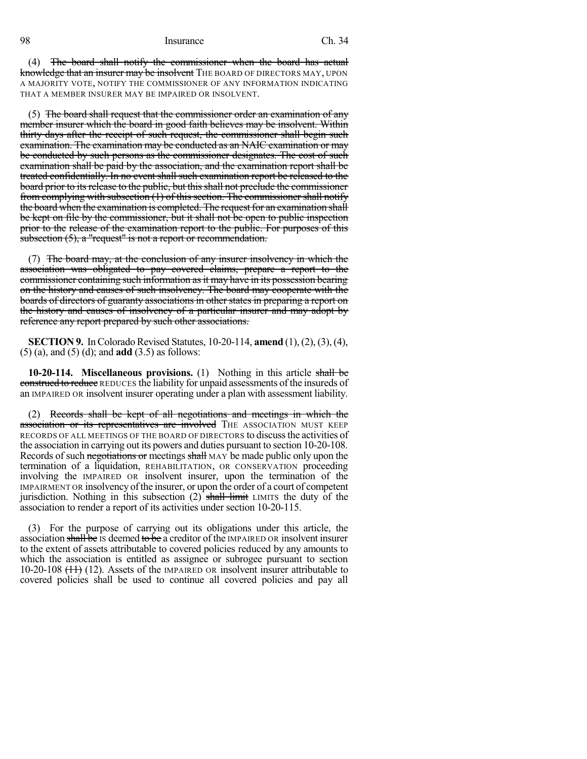(4) The board shall notify the commissioner when the board has actual knowledge that an insurer may be insolvent THE BOARD OF DIRECTORS MAY, UPON A MAJORITY VOTE, NOTIFY THE COMMISSIONER OF ANY INFORMATION INDICATING THAT A MEMBER INSURER MAY BE IMPAIRED OR INSOLVENT.

(5) The board shall request that the commissioner order an examination of any member insurer which the board in good faith believes may be insolvent. Within thirty days after the receipt of such request, the commissioner shall begin such examination. The examination may be conducted as an NAIC examination or may be conducted by such persons as the commissioner designates. The cost of such examination shall be paid by the association, and the examination report shall be treated confidentially. In no event shall such examination report be released to the board prior to its release to the public, but this shall not preclude the commissioner from complying with subsection (1) of this section. The commissioner shall notify the board when the examination is completed. The request for an examination shall be kept on file by the commissioner, but it shall not be open to public inspection prior to the release of the examination report to the public. For purposes of this subsection  $(5)$ , a "request" is not a report or recommendation.

(7) The board may, at the conclusion of any insurer insolvency in which the association was obligated to pay covered claims, prepare a report to the commissioner containing such information as it may have in its possession bearing on the history and causes of such insolvency. The board may cooperate with the boards of directors of guaranty associations in other states in preparing a report on the history and causes of insolvency of a particular insurer and may adopt by reference any report prepared by such other associations.

**SECTION 9.** In Colorado Revised Statutes, 10-20-114, **amend** (1), (2), (3), (4), (5) (a), and (5) (d); and **add** (3.5) as follows:

**10-20-114. Miscellaneous provisions.** (1) Nothing in this article shall be construed to reduce REDUCES the liability for unpaid assessments of the insureds of an IMPAIRED OR insolvent insurer operating under a plan with assessment liability.

(2) Records shall be kept of all negotiations and meetings in which the association or its representatives are involved THE ASSOCIATION MUST KEEP RECORDS OF ALL MEETINGS OF THE BOARD OF DIRECTORS to discussthe activities of the association in carrying out its powers and duties pursuant to section 10-20-108. Records of such negotiations or meetings shall MAY be made public only upon the termination of a liquidation, REHABILITATION, OR CONSERVATION proceeding involving the IMPAIRED OR insolvent insurer, upon the termination of the IMPAIRMENT OR insolvency of the insurer, or upon the order of a court of competent jurisdiction. Nothing in this subsection  $(2)$  shall limit LIMITS the duty of the association to render a report of its activities under section 10-20-115.

(3) For the purpose of carrying out its obligations under this article, the association shall be IS deemed to be a creditor of the IMPAIRED OR insolvent insurer to the extent of assets attributable to covered policies reduced by any amounts to which the association is entitled as assignee or subrogee pursuant to section 10-20-108  $(11)$  (12). Assets of the IMPAIRED OR insolvent insurer attributable to covered policies shall be used to continue all covered policies and pay all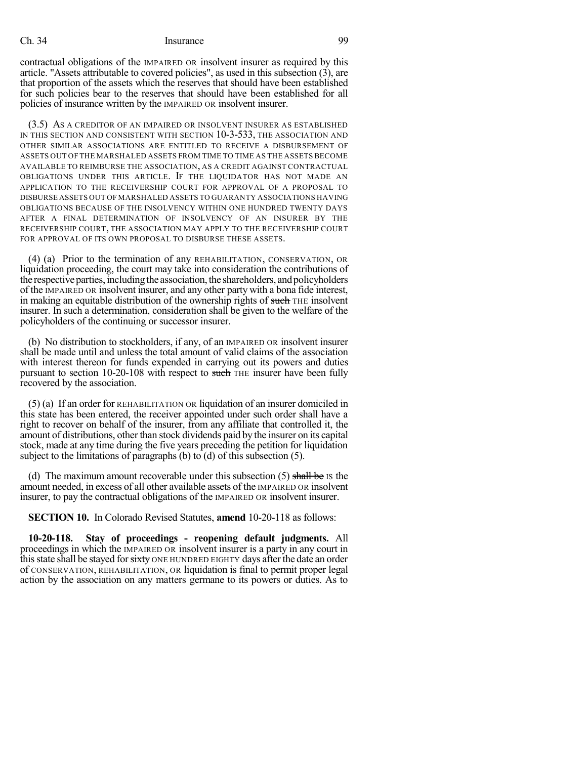contractual obligations of the IMPAIRED OR insolvent insurer as required by this article. "Assets attributable to covered policies", as used in this subsection (3), are that proportion of the assets which the reserves that should have been established for such policies bear to the reserves that should have been established for all policies of insurance written by the IMPAIRED OR insolvent insurer.

(3.5) AS A CREDITOR OF AN IMPAIRED OR INSOLVENT INSURER AS ESTABLISHED IN THIS SECTION AND CONSISTENT WITH SECTION 10-3-533, THE ASSOCIATION AND OTHER SIMILAR ASSOCIATIONS ARE ENTITLED TO RECEIVE A DISBURSEMENT OF ASSETS OUT OF THE MARSHALED ASSETS FROM TIME TO TIME AS THE ASSETS BECOME AVAILABLE TO REIMBURSE THE ASSOCIATION, AS A CREDIT AGAINST CONTRACTUAL OBLIGATIONS UNDER THIS ARTICLE. IF THE LIQUIDATOR HAS NOT MADE AN APPLICATION TO THE RECEIVERSHIP COURT FOR APPROVAL OF A PROPOSAL TO DISBURSE ASSETS OUT OF MARSHALED ASSETS TO GUARANTY ASSOCIATIONS HAVING OBLIGATIONS BECAUSE OF THE INSOLVENCY WITHIN ONE HUNDRED TWENTY DAYS AFTER A FINAL DETERMINATION OF INSOLVENCY OF AN INSURER BY THE RECEIVERSHIP COURT, THE ASSOCIATION MAY APPLY TO THE RECEIVERSHIP COURT FOR APPROVAL OF ITS OWN PROPOSAL TO DISBURSE THESE ASSETS.

(4) (a) Prior to the termination of any REHABILITATION, CONSERVATION, OR liquidation proceeding, the court may take into consideration the contributions of the respective parties, including the association, the shareholders, and policyholders of the IMPAIRED OR insolvent insurer, and any other party with a bona fide interest, in making an equitable distribution of the ownership rights of such THE insolvent insurer. In such a determination, consideration shall be given to the welfare of the policyholders of the continuing or successor insurer.

(b) No distribution to stockholders, if any, of an IMPAIRED OR insolvent insurer shall be made until and unless the total amount of valid claims of the association with interest thereon for funds expended in carrying out its powers and duties pursuant to section 10-20-108 with respect to such THE insurer have been fully recovered by the association.

(5) (a) If an order for REHABILITATION OR liquidation of an insurer domiciled in this state has been entered, the receiver appointed under such order shall have a right to recover on behalf of the insurer, from any affiliate that controlled it, the amount of distributions, other than stock dividends paid by the insurer on its capital stock, made at any time during the five years preceding the petition for liquidation subject to the limitations of paragraphs (b) to (d) of this subsection (5).

(d) The maximum amount recoverable under this subsection  $(5)$  shall be Is the amount needed, in excess of all other available assets of the IMPAIRED OR insolvent insurer, to pay the contractual obligations of the IMPAIRED OR insolvent insurer.

**SECTION 10.** In Colorado Revised Statutes, **amend** 10-20-118 as follows:

**10-20-118. Stay of proceedings - reopening default judgments.** All proceedings in which the IMPAIRED OR insolvent insurer is a party in any court in this state shall be stayed for sixty ONE HUNDRED EIGHTY days after the date an order of CONSERVATION, REHABILITATION, OR liquidation is final to permit proper legal action by the association on any matters germane to its powers or duties. As to